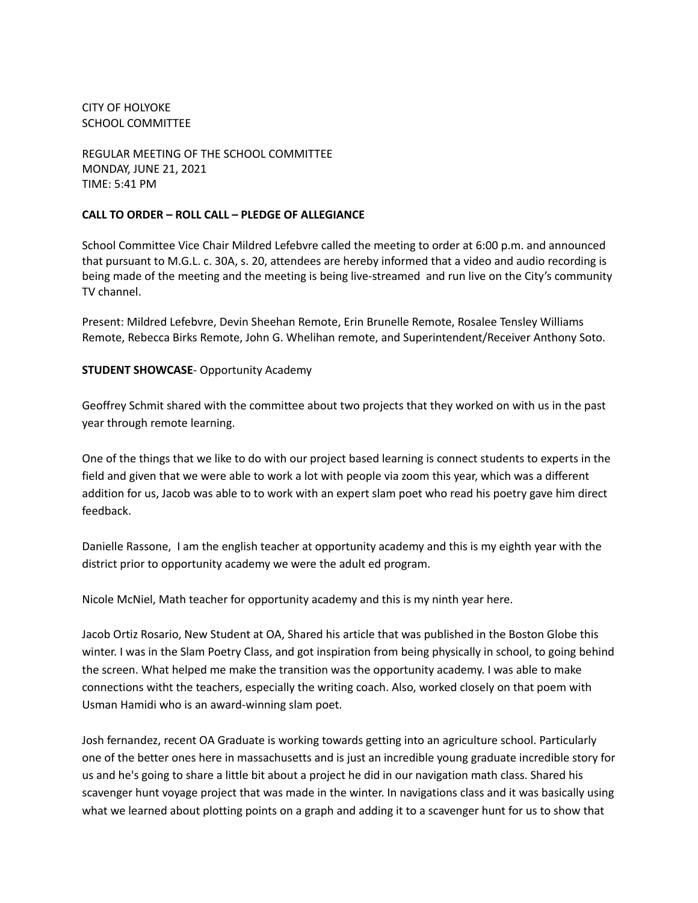## CITY OF HOLYOKE SCHOOL COMMITTEE

REGULAR MEETING OF THE SCHOOL COMMITTEE MONDAY, JUNE 21, 2021 TIME: 5:41 PM

## **CALL TO ORDER – ROLL CALL – PLEDGE OF ALLEGIANCE**

School Committee Vice Chair Mildred Lefebvre called the meeting to order at 6:00 p.m. and announced that pursuant to M.G.L. c. 30A, s. 20, attendees are hereby informed that a video and audio recording is being made of the meeting and the meeting is being live-streamed and run live on the City's community TV channel.

Present: Mildred Lefebvre, Devin Sheehan Remote, Erin Brunelle Remote, Rosalee Tensley Williams Remote, Rebecca Birks Remote, John G. Whelihan remote, and Superintendent/Receiver Anthony Soto.

## **STUDENT SHOWCASE**- Opportunity Academy

Geoffrey Schmit shared with the committee about two projects that they worked on with us in the past year through remote learning.

One of the things that we like to do with our project based learning is connect students to experts in the field and given that we were able to work a lot with people via zoom this year, which was a different addition for us, Jacob was able to to work with an expert slam poet who read his poetry gave him direct feedback.

Danielle Rassone, I am the english teacher at opportunity academy and this is my eighth year with the district prior to opportunity academy we were the adult ed program.

Nicole McNiel, Math teacher for opportunity academy and this is my ninth year here.

Jacob Ortiz Rosario, New Student at OA, Shared his article that was published in the Boston Globe this winter. I was in the Slam Poetry Class, and got inspiration from being physically in school, to going behind the screen. What helped me make the transition was the opportunity academy. I was able to make connections witht the teachers, especially the writing coach. Also, worked closely on that poem with Usman Hamidi who is an award-winning slam poet.

Josh fernandez, recent OA Graduate is working towards getting into an agriculture school. Particularly one of the better ones here in massachusetts and is just an incredible young graduate incredible story for us and he's going to share a little bit about a project he did in our navigation math class. Shared his scavenger hunt voyage project that was made in the winter. In navigations class and it was basically using what we learned about plotting points on a graph and adding it to a scavenger hunt for us to show that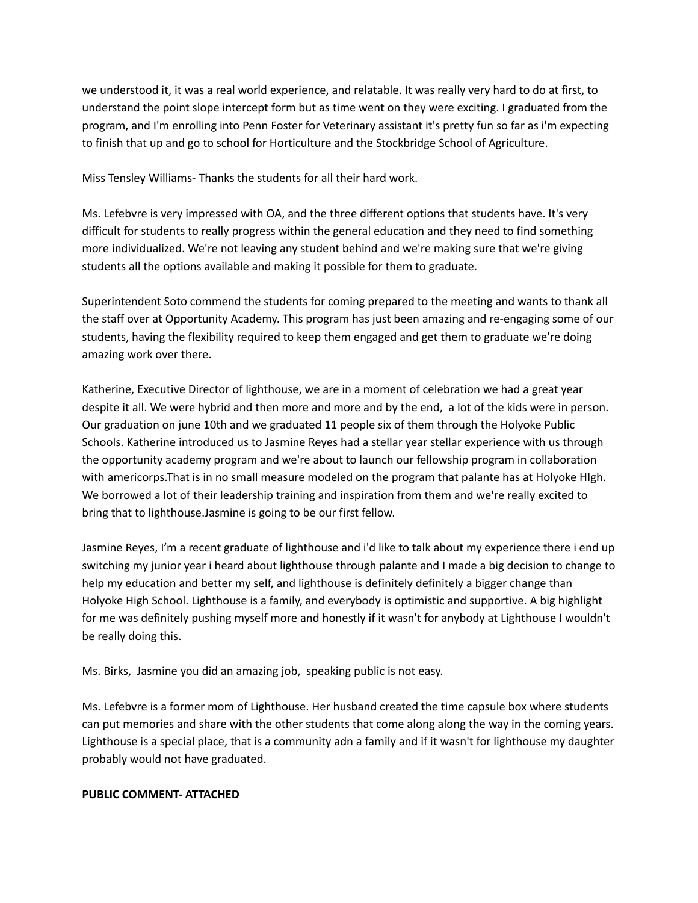we understood it, it was a real world experience, and relatable. It was really very hard to do at first, to understand the point slope intercept form but as time went on they were exciting. I graduated from the program, and I'm enrolling into Penn Foster for Veterinary assistant it's pretty fun so far as i'm expecting to finish that up and go to school for Horticulture and the Stockbridge School of Agriculture.

Miss Tensley Williams- Thanks the students for all their hard work.

Ms. Lefebvre is very impressed with OA, and the three different options that students have. It's very difficult for students to really progress within the general education and they need to find something more individualized. We're not leaving any student behind and we're making sure that we're giving students all the options available and making it possible for them to graduate.

Superintendent Soto commend the students for coming prepared to the meeting and wants to thank all the staff over at Opportunity Academy. This program has just been amazing and re-engaging some of our students, having the flexibility required to keep them engaged and get them to graduate we're doing amazing work over there.

Katherine, Executive Director of lighthouse, we are in a moment of celebration we had a great year despite it all. We were hybrid and then more and more and by the end, a lot of the kids were in person. Our graduation on june 10th and we graduated 11 people six of them through the Holyoke Public Schools. Katherine introduced us to Jasmine Reyes had a stellar year stellar experience with us through the opportunity academy program and we're about to launch our fellowship program in collaboration with americorps.That is in no small measure modeled on the program that palante has at Holyoke HIgh. We borrowed a lot of their leadership training and inspiration from them and we're really excited to bring that to lighthouse.Jasmine is going to be our first fellow.

Jasmine Reyes, I'm a recent graduate of lighthouse and i'd like to talk about my experience there i end up switching my junior year i heard about lighthouse through palante and I made a big decision to change to help my education and better my self, and lighthouse is definitely definitely a bigger change than Holyoke High School. Lighthouse is a family, and everybody is optimistic and supportive. A big highlight for me was definitely pushing myself more and honestly if it wasn't for anybody at Lighthouse I wouldn't be really doing this.

Ms. Birks, Jasmine you did an amazing job, speaking public is not easy.

Ms. Lefebvre is a former mom of Lighthouse. Her husband created the time capsule box where students can put memories and share with the other students that come along along the way in the coming years. Lighthouse is a special place, that is a community adn a family and if it wasn't for lighthouse my daughter probably would not have graduated.

#### **PUBLIC COMMENT- ATTACHED**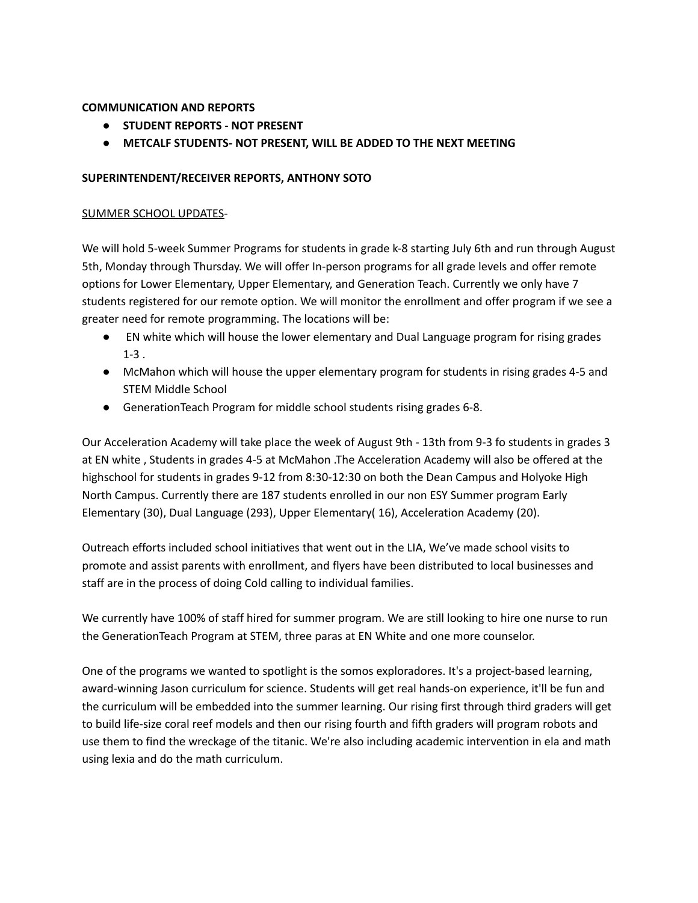# **COMMUNICATION AND REPORTS**

- **● STUDENT REPORTS - NOT PRESENT**
- **● METCALF STUDENTS- NOT PRESENT, WILL BE ADDED TO THE NEXT MEETING**

# **SUPERINTENDENT/RECEIVER REPORTS, ANTHONY SOTO**

# SUMMER SCHOOL UPDATES-

We will hold 5-week Summer Programs for students in grade k-8 starting July 6th and run through August 5th, Monday through Thursday. We will offer In-person programs for all grade levels and offer remote options for Lower Elementary, Upper Elementary, and Generation Teach. Currently we only have 7 students registered for our remote option. We will monitor the enrollment and offer program if we see a greater need for remote programming. The locations will be:

- EN white which will house the lower elementary and Dual Language program for rising grades 1-3 .
- McMahon which will house the upper elementary program for students in rising grades 4-5 and STEM Middle School
- GenerationTeach Program for middle school students rising grades 6-8.

Our Acceleration Academy will take place the week of August 9th - 13th from 9-3 fo students in grades 3 at EN white , Students in grades 4-5 at McMahon .The Acceleration Academy will also be offered at the highschool for students in grades 9-12 from 8:30-12:30 on both the Dean Campus and Holyoke High North Campus. Currently there are 187 students enrolled in our non ESY Summer program Early Elementary (30), Dual Language (293), Upper Elementary( 16), Acceleration Academy (20).

Outreach efforts included school initiatives that went out in the LIA, We've made school visits to promote and assist parents with enrollment, and flyers have been distributed to local businesses and staff are in the process of doing Cold calling to individual families.

We currently have 100% of staff hired for summer program. We are still looking to hire one nurse to run the GenerationTeach Program at STEM, three paras at EN White and one more counselor.

One of the programs we wanted to spotlight is the somos exploradores. It's a project-based learning, award-winning Jason curriculum for science. Students will get real hands-on experience, it'll be fun and the curriculum will be embedded into the summer learning. Our rising first through third graders will get to build life-size coral reef models and then our rising fourth and fifth graders will program robots and use them to find the wreckage of the titanic. We're also including academic intervention in ela and math using lexia and do the math curriculum.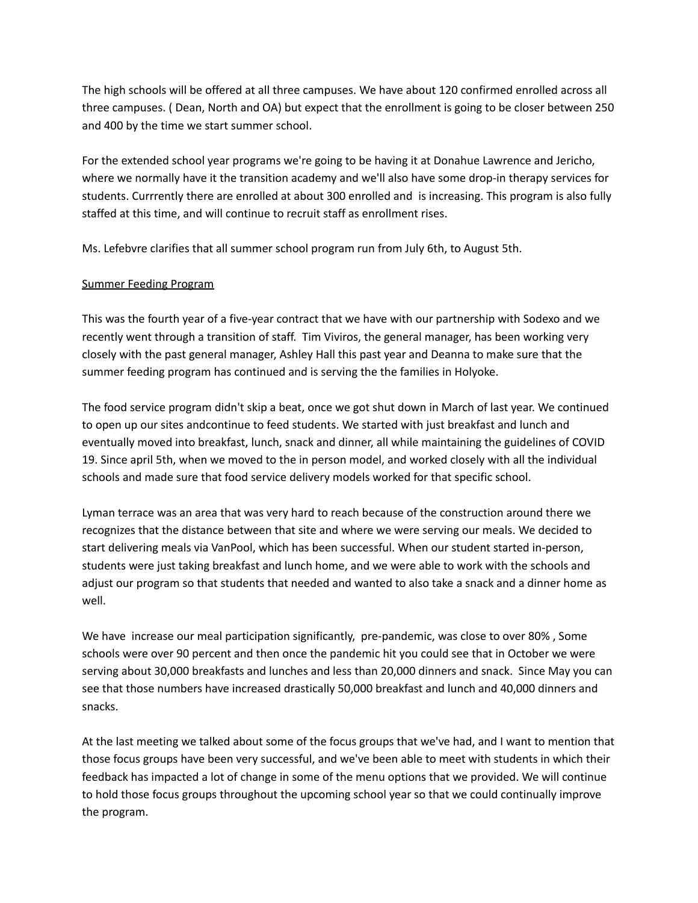The high schools will be offered at all three campuses. We have about 120 confirmed enrolled across all three campuses. ( Dean, North and OA) but expect that the enrollment is going to be closer between 250 and 400 by the time we start summer school.

For the extended school year programs we're going to be having it at Donahue Lawrence and Jericho, where we normally have it the transition academy and we'll also have some drop-in therapy services for students. Currrently there are enrolled at about 300 enrolled and is increasing. This program is also fully staffed at this time, and will continue to recruit staff as enrollment rises.

Ms. Lefebvre clarifies that all summer school program run from July 6th, to August 5th.

## Summer Feeding Program

This was the fourth year of a five-year contract that we have with our partnership with Sodexo and we recently went through a transition of staff. Tim Viviros, the general manager, has been working very closely with the past general manager, Ashley Hall this past year and Deanna to make sure that the summer feeding program has continued and is serving the the families in Holyoke.

The food service program didn't skip a beat, once we got shut down in March of last year. We continued to open up our sites andcontinue to feed students. We started with just breakfast and lunch and eventually moved into breakfast, lunch, snack and dinner, all while maintaining the guidelines of COVID 19. Since april 5th, when we moved to the in person model, and worked closely with all the individual schools and made sure that food service delivery models worked for that specific school.

Lyman terrace was an area that was very hard to reach because of the construction around there we recognizes that the distance between that site and where we were serving our meals. We decided to start delivering meals via VanPool, which has been successful. When our student started in-person, students were just taking breakfast and lunch home, and we were able to work with the schools and adjust our program so that students that needed and wanted to also take a snack and a dinner home as well.

We have increase our meal participation significantly, pre-pandemic, was close to over 80% , Some schools were over 90 percent and then once the pandemic hit you could see that in October we were serving about 30,000 breakfasts and lunches and less than 20,000 dinners and snack. Since May you can see that those numbers have increased drastically 50,000 breakfast and lunch and 40,000 dinners and snacks.

At the last meeting we talked about some of the focus groups that we've had, and I want to mention that those focus groups have been very successful, and we've been able to meet with students in which their feedback has impacted a lot of change in some of the menu options that we provided. We will continue to hold those focus groups throughout the upcoming school year so that we could continually improve the program.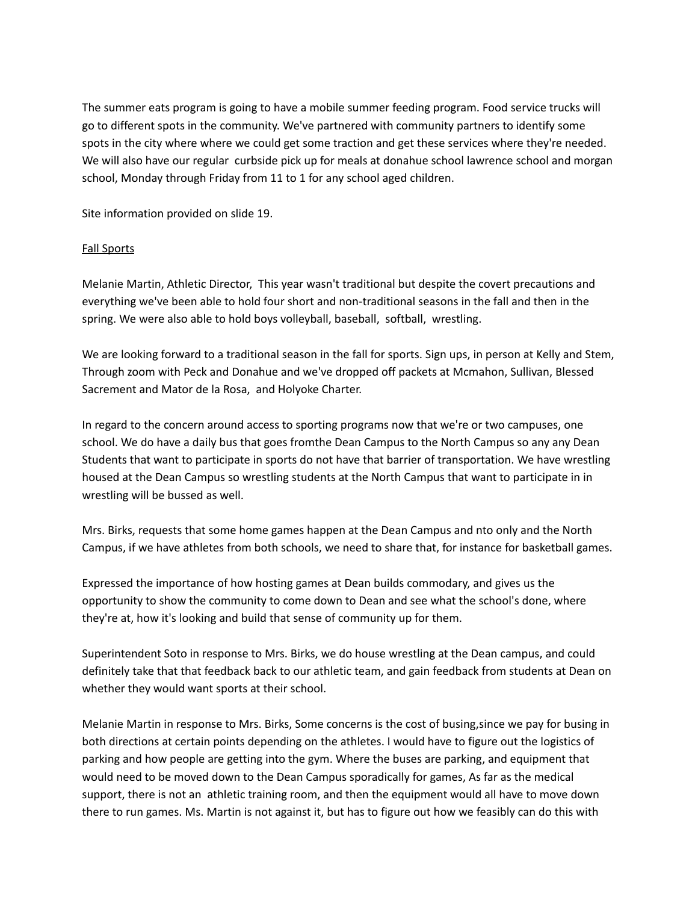The summer eats program is going to have a mobile summer feeding program. Food service trucks will go to different spots in the community. We've partnered with community partners to identify some spots in the city where where we could get some traction and get these services where they're needed. We will also have our regular curbside pick up for meals at donahue school lawrence school and morgan school, Monday through Friday from 11 to 1 for any school aged children.

Site information provided on slide 19.

## Fall Sports

Melanie Martin, Athletic Director, This year wasn't traditional but despite the covert precautions and everything we've been able to hold four short and non-traditional seasons in the fall and then in the spring. We were also able to hold boys volleyball, baseball, softball, wrestling.

We are looking forward to a traditional season in the fall for sports. Sign ups, in person at Kelly and Stem, Through zoom with Peck and Donahue and we've dropped off packets at Mcmahon, Sullivan, Blessed Sacrement and Mator de la Rosa, and Holyoke Charter.

In regard to the concern around access to sporting programs now that we're or two campuses, one school. We do have a daily bus that goes fromthe Dean Campus to the North Campus so any any Dean Students that want to participate in sports do not have that barrier of transportation. We have wrestling housed at the Dean Campus so wrestling students at the North Campus that want to participate in in wrestling will be bussed as well.

Mrs. Birks, requests that some home games happen at the Dean Campus and nto only and the North Campus, if we have athletes from both schools, we need to share that, for instance for basketball games.

Expressed the importance of how hosting games at Dean builds commodary, and gives us the opportunity to show the community to come down to Dean and see what the school's done, where they're at, how it's looking and build that sense of community up for them.

Superintendent Soto in response to Mrs. Birks, we do house wrestling at the Dean campus, and could definitely take that that feedback back to our athletic team, and gain feedback from students at Dean on whether they would want sports at their school.

Melanie Martin in response to Mrs. Birks, Some concerns is the cost of busing,since we pay for busing in both directions at certain points depending on the athletes. I would have to figure out the logistics of parking and how people are getting into the gym. Where the buses are parking, and equipment that would need to be moved down to the Dean Campus sporadically for games, As far as the medical support, there is not an athletic training room, and then the equipment would all have to move down there to run games. Ms. Martin is not against it, but has to figure out how we feasibly can do this with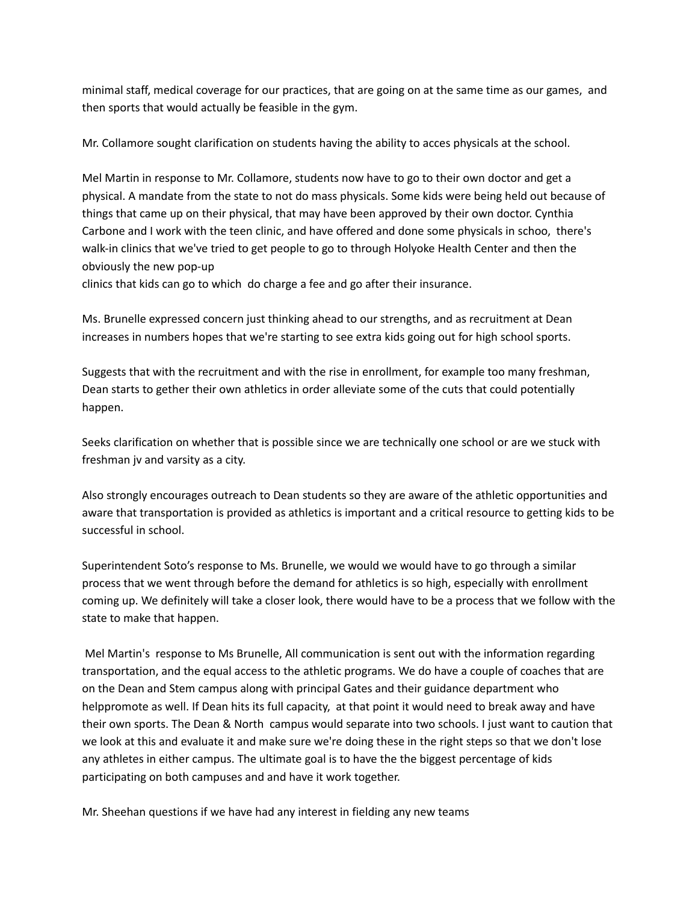minimal staff, medical coverage for our practices, that are going on at the same time as our games, and then sports that would actually be feasible in the gym.

Mr. Collamore sought clarification on students having the ability to acces physicals at the school.

Mel Martin in response to Mr. Collamore, students now have to go to their own doctor and get a physical. A mandate from the state to not do mass physicals. Some kids were being held out because of things that came up on their physical, that may have been approved by their own doctor. Cynthia Carbone and I work with the teen clinic, and have offered and done some physicals in schoo, there's walk-in clinics that we've tried to get people to go to through Holyoke Health Center and then the obviously the new pop-up

clinics that kids can go to which do charge a fee and go after their insurance.

Ms. Brunelle expressed concern just thinking ahead to our strengths, and as recruitment at Dean increases in numbers hopes that we're starting to see extra kids going out for high school sports.

Suggests that with the recruitment and with the rise in enrollment, for example too many freshman, Dean starts to gether their own athletics in order alleviate some of the cuts that could potentially happen.

Seeks clarification on whether that is possible since we are technically one school or are we stuck with freshman jv and varsity as a city.

Also strongly encourages outreach to Dean students so they are aware of the athletic opportunities and aware that transportation is provided as athletics is important and a critical resource to getting kids to be successful in school.

Superintendent Soto's response to Ms. Brunelle, we would we would have to go through a similar process that we went through before the demand for athletics is so high, especially with enrollment coming up. We definitely will take a closer look, there would have to be a process that we follow with the state to make that happen.

Mel Martin's response to Ms Brunelle, All communication is sent out with the information regarding transportation, and the equal access to the athletic programs. We do have a couple of coaches that are on the Dean and Stem campus along with principal Gates and their guidance department who helppromote as well. If Dean hits its full capacity, at that point it would need to break away and have their own sports. The Dean & North campus would separate into two schools. I just want to caution that we look at this and evaluate it and make sure we're doing these in the right steps so that we don't lose any athletes in either campus. The ultimate goal is to have the the biggest percentage of kids participating on both campuses and and have it work together.

Mr. Sheehan questions if we have had any interest in fielding any new teams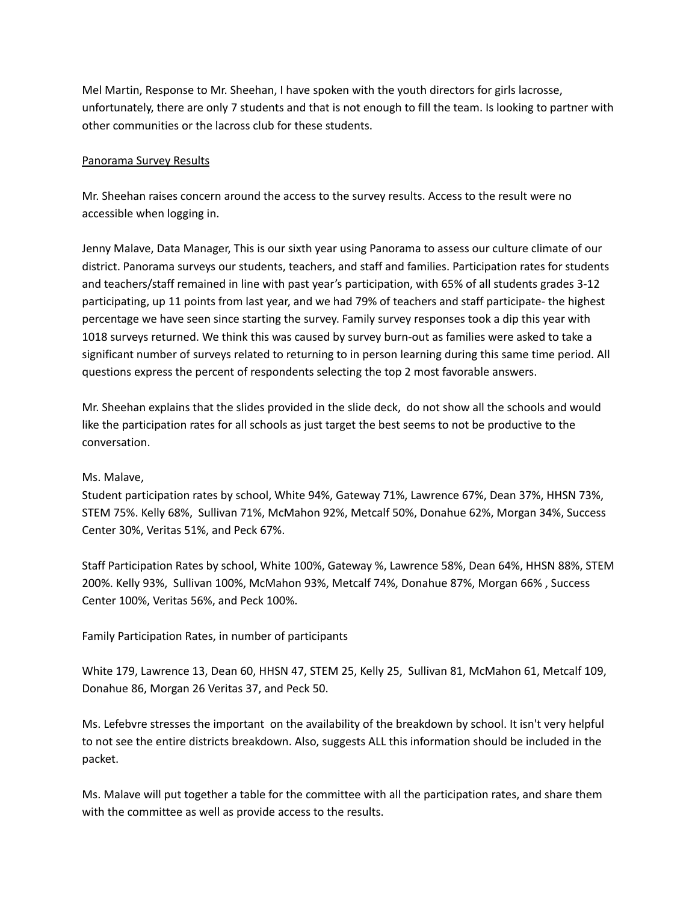Mel Martin, Response to Mr. Sheehan, I have spoken with the youth directors for girls lacrosse, unfortunately, there are only 7 students and that is not enough to fill the team. Is looking to partner with other communities or the lacross club for these students.

## Panorama Survey Results

Mr. Sheehan raises concern around the access to the survey results. Access to the result were no accessible when logging in.

Jenny Malave, Data Manager, This is our sixth year using Panorama to assess our culture climate of our district. Panorama surveys our students, teachers, and staff and families. Participation rates for students and teachers/staff remained in line with past year's participation, with 65% of all students grades 3-12 participating, up 11 points from last year, and we had 79% of teachers and staff participate- the highest percentage we have seen since starting the survey. Family survey responses took a dip this year with 1018 surveys returned. We think this was caused by survey burn-out as families were asked to take a significant number of surveys related to returning to in person learning during this same time period. All questions express the percent of respondents selecting the top 2 most favorable answers.

Mr. Sheehan explains that the slides provided in the slide deck, do not show all the schools and would like the participation rates for all schools as just target the best seems to not be productive to the conversation.

#### Ms. Malave,

Student participation rates by school, White 94%, Gateway 71%, Lawrence 67%, Dean 37%, HHSN 73%, STEM 75%. Kelly 68%, Sullivan 71%, McMahon 92%, Metcalf 50%, Donahue 62%, Morgan 34%, Success Center 30%, Veritas 51%, and Peck 67%.

Staff Participation Rates by school, White 100%, Gateway %, Lawrence 58%, Dean 64%, HHSN 88%, STEM 200%. Kelly 93%, Sullivan 100%, McMahon 93%, Metcalf 74%, Donahue 87%, Morgan 66% , Success Center 100%, Veritas 56%, and Peck 100%.

Family Participation Rates, in number of participants

White 179, Lawrence 13, Dean 60, HHSN 47, STEM 25, Kelly 25, Sullivan 81, McMahon 61, Metcalf 109, Donahue 86, Morgan 26 Veritas 37, and Peck 50.

Ms. Lefebvre stresses the important on the availability of the breakdown by school. It isn't very helpful to not see the entire districts breakdown. Also, suggests ALL this information should be included in the packet.

Ms. Malave will put together a table for the committee with all the participation rates, and share them with the committee as well as provide access to the results.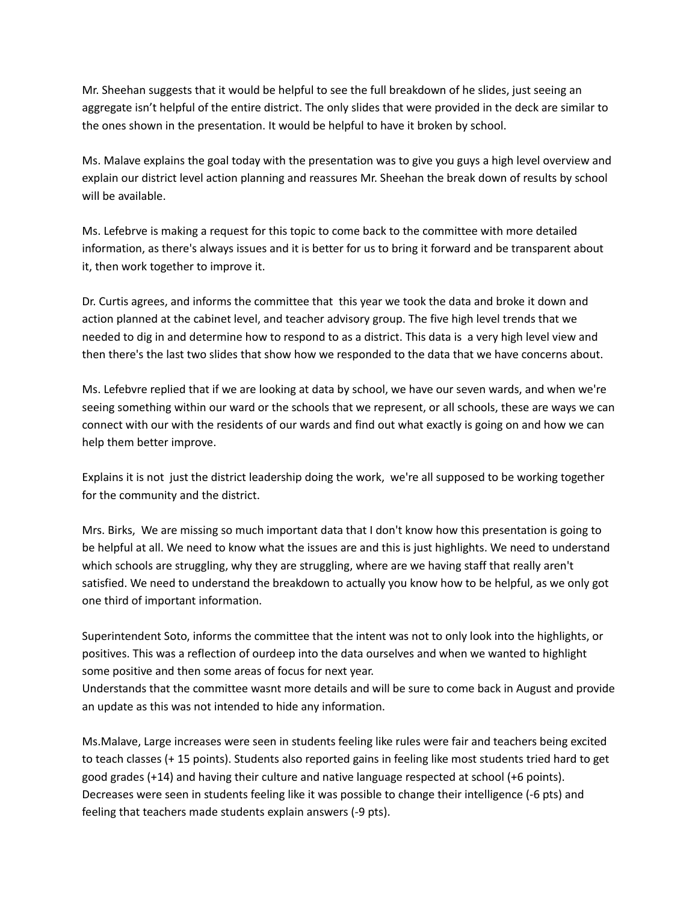Mr. Sheehan suggests that it would be helpful to see the full breakdown of he slides, just seeing an aggregate isn't helpful of the entire district. The only slides that were provided in the deck are similar to the ones shown in the presentation. It would be helpful to have it broken by school.

Ms. Malave explains the goal today with the presentation was to give you guys a high level overview and explain our district level action planning and reassures Mr. Sheehan the break down of results by school will be available.

Ms. Lefebrve is making a request for this topic to come back to the committee with more detailed information, as there's always issues and it is better for us to bring it forward and be transparent about it, then work together to improve it.

Dr. Curtis agrees, and informs the committee that this year we took the data and broke it down and action planned at the cabinet level, and teacher advisory group. The five high level trends that we needed to dig in and determine how to respond to as a district. This data is a very high level view and then there's the last two slides that show how we responded to the data that we have concerns about.

Ms. Lefebvre replied that if we are looking at data by school, we have our seven wards, and when we're seeing something within our ward or the schools that we represent, or all schools, these are ways we can connect with our with the residents of our wards and find out what exactly is going on and how we can help them better improve.

Explains it is not just the district leadership doing the work, we're all supposed to be working together for the community and the district.

Mrs. Birks, We are missing so much important data that I don't know how this presentation is going to be helpful at all. We need to know what the issues are and this is just highlights. We need to understand which schools are struggling, why they are struggling, where are we having staff that really aren't satisfied. We need to understand the breakdown to actually you know how to be helpful, as we only got one third of important information.

Superintendent Soto, informs the committee that the intent was not to only look into the highlights, or positives. This was a reflection of ourdeep into the data ourselves and when we wanted to highlight some positive and then some areas of focus for next year.

Understands that the committee wasnt more details and will be sure to come back in August and provide an update as this was not intended to hide any information.

Ms.Malave, Large increases were seen in students feeling like rules were fair and teachers being excited to teach classes (+ 15 points). Students also reported gains in feeling like most students tried hard to get good grades (+14) and having their culture and native language respected at school (+6 points). Decreases were seen in students feeling like it was possible to change their intelligence (-6 pts) and feeling that teachers made students explain answers (-9 pts).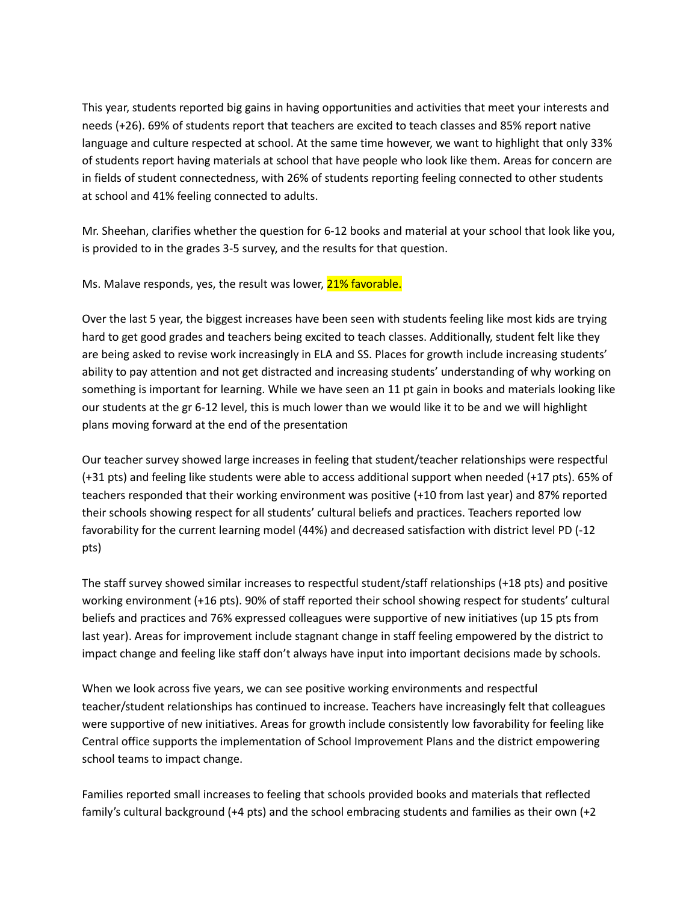This year, students reported big gains in having opportunities and activities that meet your interests and needs (+26). 69% of students report that teachers are excited to teach classes and 85% report native language and culture respected at school. At the same time however, we want to highlight that only 33% of students report having materials at school that have people who look like them. Areas for concern are in fields of student connectedness, with 26% of students reporting feeling connected to other students at school and 41% feeling connected to adults.

Mr. Sheehan, clarifies whether the question for 6-12 books and material at your school that look like you, is provided to in the grades 3-5 survey, and the results for that question.

Ms. Malave responds, yes, the result was lower, 21% favorable.

Over the last 5 year, the biggest increases have been seen with students feeling like most kids are trying hard to get good grades and teachers being excited to teach classes. Additionally, student felt like they are being asked to revise work increasingly in ELA and SS. Places for growth include increasing students' ability to pay attention and not get distracted and increasing students' understanding of why working on something is important for learning. While we have seen an 11 pt gain in books and materials looking like our students at the gr 6-12 level, this is much lower than we would like it to be and we will highlight plans moving forward at the end of the presentation

Our teacher survey showed large increases in feeling that student/teacher relationships were respectful (+31 pts) and feeling like students were able to access additional support when needed (+17 pts). 65% of teachers responded that their working environment was positive (+10 from last year) and 87% reported their schools showing respect for all students' cultural beliefs and practices. Teachers reported low favorability for the current learning model (44%) and decreased satisfaction with district level PD (-12 pts)

The staff survey showed similar increases to respectful student/staff relationships (+18 pts) and positive working environment (+16 pts). 90% of staff reported their school showing respect for students' cultural beliefs and practices and 76% expressed colleagues were supportive of new initiatives (up 15 pts from last year). Areas for improvement include stagnant change in staff feeling empowered by the district to impact change and feeling like staff don't always have input into important decisions made by schools.

When we look across five years, we can see positive working environments and respectful teacher/student relationships has continued to increase. Teachers have increasingly felt that colleagues were supportive of new initiatives. Areas for growth include consistently low favorability for feeling like Central office supports the implementation of School Improvement Plans and the district empowering school teams to impact change.

Families reported small increases to feeling that schools provided books and materials that reflected family's cultural background (+4 pts) and the school embracing students and families as their own (+2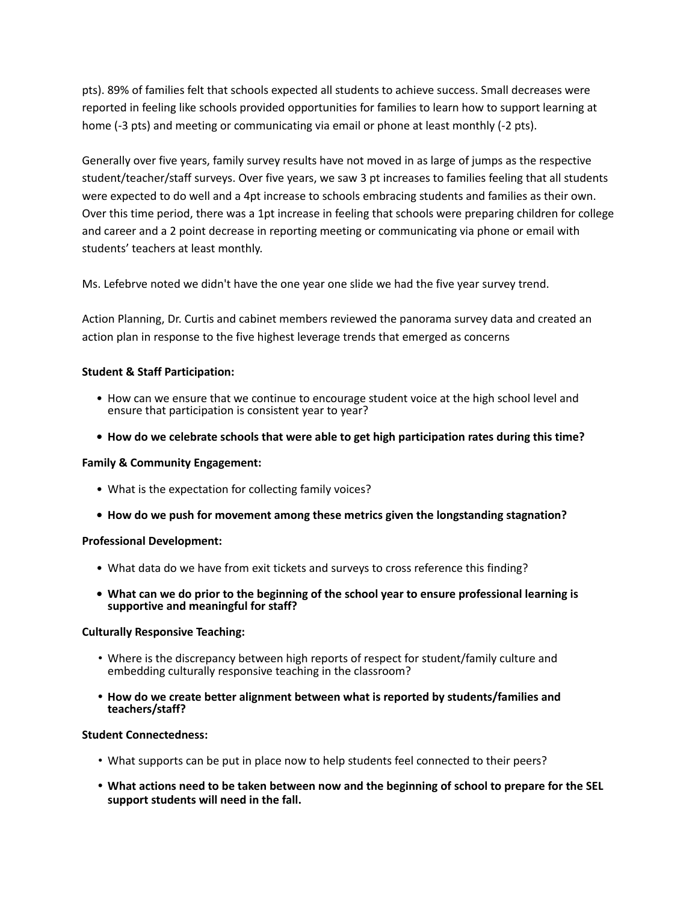pts). 89% of families felt that schools expected all students to achieve success. Small decreases were reported in feeling like schools provided opportunities for families to learn how to support learning at home (-3 pts) and meeting or communicating via email or phone at least monthly (-2 pts).

Generally over five years, family survey results have not moved in as large of jumps as the respective student/teacher/staff surveys. Over five years, we saw 3 pt increases to families feeling that all students were expected to do well and a 4pt increase to schools embracing students and families as their own. Over this time period, there was a 1pt increase in feeling that schools were preparing children for college and career and a 2 point decrease in reporting meeting or communicating via phone or email with students' teachers at least monthly.

Ms. Lefebrve noted we didn't have the one year one slide we had the five year survey trend.

Action Planning, Dr. Curtis and cabinet members reviewed the panorama survey data and created an action plan in response to the five highest leverage trends that emerged as concerns

### **Student & Staff Participation:**

- How can we ensure that we continue to encourage student voice at the high school level and ensure that participation is consistent year to year?
- **• How do we celebrate schools that were able to get high participation rates during this time?**

#### **Family & Community Engagement:**

- What is the expectation for collecting family voices?
- **• How do we push for movement among these metrics given the longstanding stagnation?**

#### **Professional Development:**

- What data do we have from exit tickets and surveys to cross reference this finding?
- **• What can we do prior to the beginning of the school year to ensure professional learning is supportive and meaningful for staff?**

#### **Culturally Responsive Teaching:**

- Where is the discrepancy between high reports of respect for student/family culture and embedding culturally responsive teaching in the classroom?
- **• How do we create better alignment between what is reported by students/families and teachers/staff?**

#### **Student Connectedness:**

- What supports can be put in place now to help students feel connected to their peers?
- . What actions need to be taken between now and the beginning of school to prepare for the SEL **support students will need in the fall.**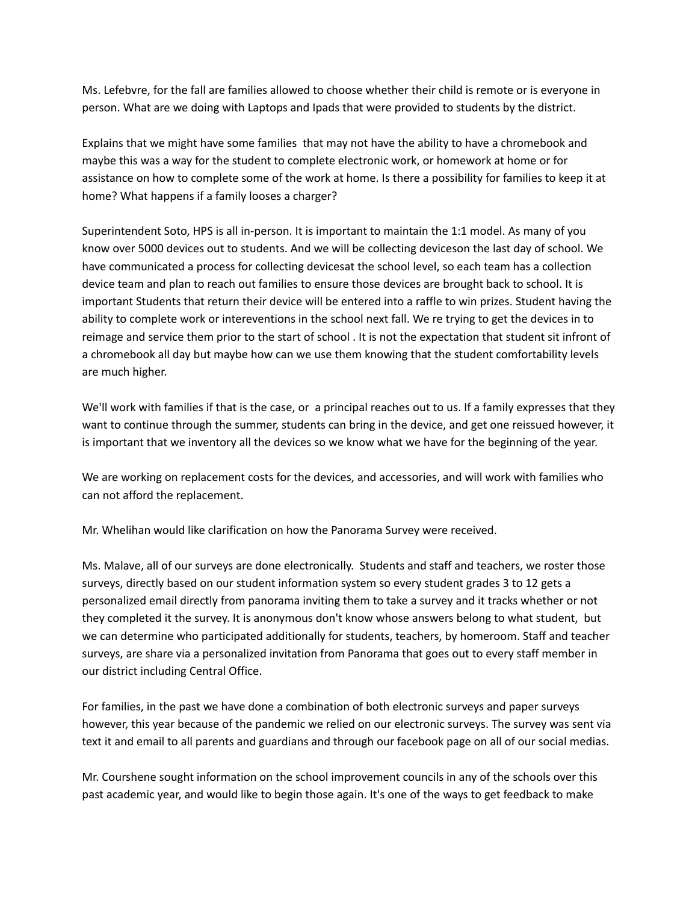Ms. Lefebvre, for the fall are families allowed to choose whether their child is remote or is everyone in person. What are we doing with Laptops and Ipads that were provided to students by the district.

Explains that we might have some families that may not have the ability to have a chromebook and maybe this was a way for the student to complete electronic work, or homework at home or for assistance on how to complete some of the work at home. Is there a possibility for families to keep it at home? What happens if a family looses a charger?

Superintendent Soto, HPS is all in-person. It is important to maintain the 1:1 model. As many of you know over 5000 devices out to students. And we will be collecting deviceson the last day of school. We have communicated a process for collecting devicesat the school level, so each team has a collection device team and plan to reach out families to ensure those devices are brought back to school. It is important Students that return their device will be entered into a raffle to win prizes. Student having the ability to complete work or intereventions in the school next fall. We re trying to get the devices in to reimage and service them prior to the start of school . It is not the expectation that student sit infront of a chromebook all day but maybe how can we use them knowing that the student comfortability levels are much higher.

We'll work with families if that is the case, or a principal reaches out to us. If a family expresses that they want to continue through the summer, students can bring in the device, and get one reissued however, it is important that we inventory all the devices so we know what we have for the beginning of the year.

We are working on replacement costs for the devices, and accessories, and will work with families who can not afford the replacement.

Mr. Whelihan would like clarification on how the Panorama Survey were received.

Ms. Malave, all of our surveys are done electronically. Students and staff and teachers, we roster those surveys, directly based on our student information system so every student grades 3 to 12 gets a personalized email directly from panorama inviting them to take a survey and it tracks whether or not they completed it the survey. It is anonymous don't know whose answers belong to what student, but we can determine who participated additionally for students, teachers, by homeroom. Staff and teacher surveys, are share via a personalized invitation from Panorama that goes out to every staff member in our district including Central Office.

For families, in the past we have done a combination of both electronic surveys and paper surveys however, this year because of the pandemic we relied on our electronic surveys. The survey was sent via text it and email to all parents and guardians and through our facebook page on all of our social medias.

Mr. Courshene sought information on the school improvement councils in any of the schools over this past academic year, and would like to begin those again. It's one of the ways to get feedback to make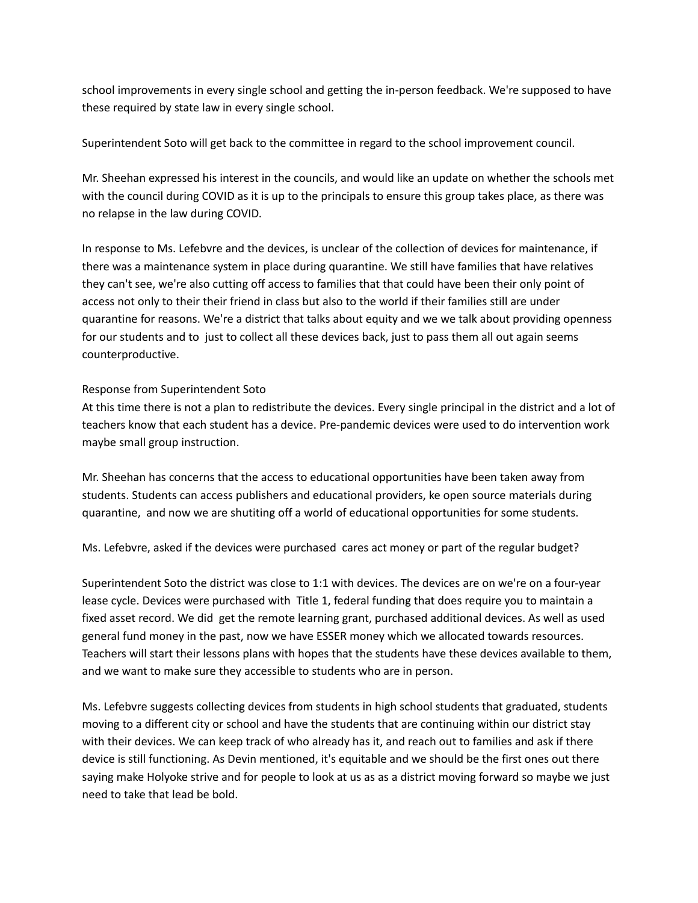school improvements in every single school and getting the in-person feedback. We're supposed to have these required by state law in every single school.

Superintendent Soto will get back to the committee in regard to the school improvement council.

Mr. Sheehan expressed his interest in the councils, and would like an update on whether the schools met with the council during COVID as it is up to the principals to ensure this group takes place, as there was no relapse in the law during COVID.

In response to Ms. Lefebvre and the devices, is unclear of the collection of devices for maintenance, if there was a maintenance system in place during quarantine. We still have families that have relatives they can't see, we're also cutting off access to families that that could have been their only point of access not only to their their friend in class but also to the world if their families still are under quarantine for reasons. We're a district that talks about equity and we we talk about providing openness for our students and to just to collect all these devices back, just to pass them all out again seems counterproductive.

# Response from Superintendent Soto

At this time there is not a plan to redistribute the devices. Every single principal in the district and a lot of teachers know that each student has a device. Pre-pandemic devices were used to do intervention work maybe small group instruction.

Mr. Sheehan has concerns that the access to educational opportunities have been taken away from students. Students can access publishers and educational providers, ke open source materials during quarantine, and now we are shutiting off a world of educational opportunities for some students.

Ms. Lefebvre, asked if the devices were purchased cares act money or part of the regular budget?

Superintendent Soto the district was close to 1:1 with devices. The devices are on we're on a four-year lease cycle. Devices were purchased with Title 1, federal funding that does require you to maintain a fixed asset record. We did get the remote learning grant, purchased additional devices. As well as used general fund money in the past, now we have ESSER money which we allocated towards resources. Teachers will start their lessons plans with hopes that the students have these devices available to them, and we want to make sure they accessible to students who are in person.

Ms. Lefebvre suggests collecting devices from students in high school students that graduated, students moving to a different city or school and have the students that are continuing within our district stay with their devices. We can keep track of who already has it, and reach out to families and ask if there device is still functioning. As Devin mentioned, it's equitable and we should be the first ones out there saying make Holyoke strive and for people to look at us as as a district moving forward so maybe we just need to take that lead be bold.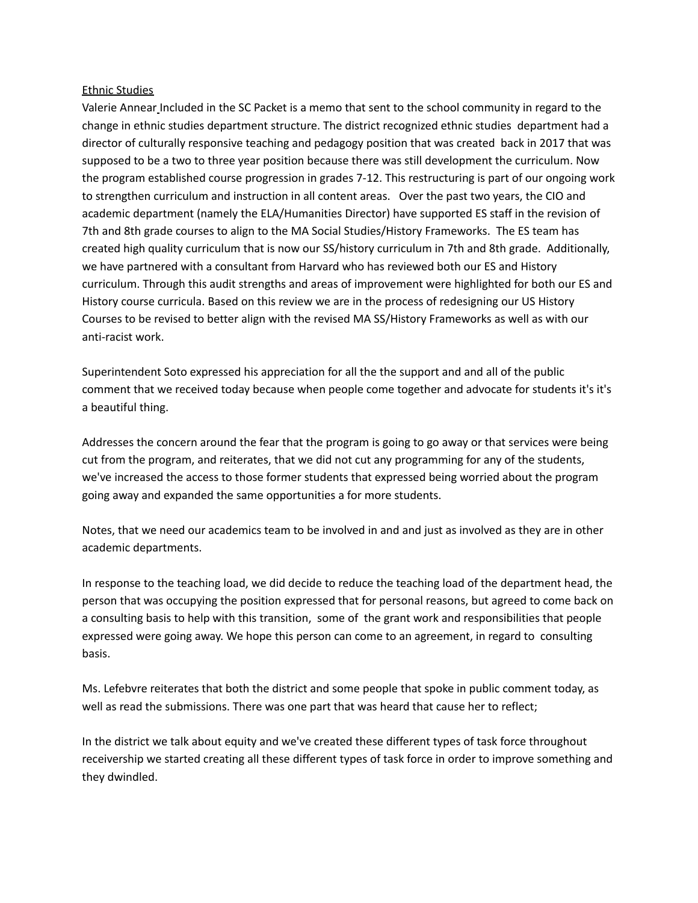#### Ethnic Studies

Valerie Annear Included in the SC Packet is a memo that sent to the school community in regard to the change in ethnic studies department structure. The district recognized ethnic studies department had a director of culturally responsive teaching and pedagogy position that was created back in 2017 that was supposed to be a two to three year position because there was still development the curriculum. Now the program established course progression in grades 7-12. This restructuring is part of our ongoing work to strengthen curriculum and instruction in all content areas. Over the past two years, the CIO and academic department (namely the ELA/Humanities Director) have supported ES staff in the revision of 7th and 8th grade courses to align to the MA Social Studies/History Frameworks. The ES team has created high quality curriculum that is now our SS/history curriculum in 7th and 8th grade. Additionally, we have partnered with a consultant from Harvard who has reviewed both our ES and History curriculum. Through this audit strengths and areas of improvement were highlighted for both our ES and History course curricula. Based on this review we are in the process of redesigning our US History Courses to be revised to better align with the revised MA SS/History Frameworks as well as with our anti-racist work.

Superintendent Soto expressed his appreciation for all the the support and and all of the public comment that we received today because when people come together and advocate for students it's it's a beautiful thing.

Addresses the concern around the fear that the program is going to go away or that services were being cut from the program, and reiterates, that we did not cut any programming for any of the students, we've increased the access to those former students that expressed being worried about the program going away and expanded the same opportunities a for more students.

Notes, that we need our academics team to be involved in and and just as involved as they are in other academic departments.

In response to the teaching load, we did decide to reduce the teaching load of the department head, the person that was occupying the position expressed that for personal reasons, but agreed to come back on a consulting basis to help with this transition, some of the grant work and responsibilities that people expressed were going away. We hope this person can come to an agreement, in regard to consulting basis.

Ms. Lefebvre reiterates that both the district and some people that spoke in public comment today, as well as read the submissions. There was one part that was heard that cause her to reflect;

In the district we talk about equity and we've created these different types of task force throughout receivership we started creating all these different types of task force in order to improve something and they dwindled.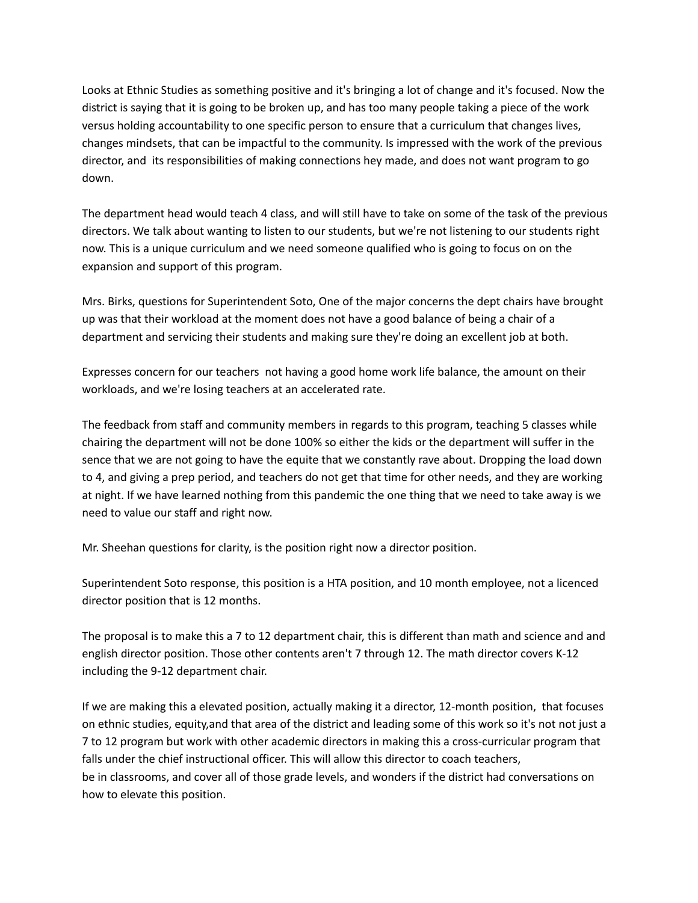Looks at Ethnic Studies as something positive and it's bringing a lot of change and it's focused. Now the district is saying that it is going to be broken up, and has too many people taking a piece of the work versus holding accountability to one specific person to ensure that a curriculum that changes lives, changes mindsets, that can be impactful to the community. Is impressed with the work of the previous director, and its responsibilities of making connections hey made, and does not want program to go down.

The department head would teach 4 class, and will still have to take on some of the task of the previous directors. We talk about wanting to listen to our students, but we're not listening to our students right now. This is a unique curriculum and we need someone qualified who is going to focus on on the expansion and support of this program.

Mrs. Birks, questions for Superintendent Soto, One of the major concerns the dept chairs have brought up was that their workload at the moment does not have a good balance of being a chair of a department and servicing their students and making sure they're doing an excellent job at both.

Expresses concern for our teachers not having a good home work life balance, the amount on their workloads, and we're losing teachers at an accelerated rate.

The feedback from staff and community members in regards to this program, teaching 5 classes while chairing the department will not be done 100% so either the kids or the department will suffer in the sence that we are not going to have the equite that we constantly rave about. Dropping the load down to 4, and giving a prep period, and teachers do not get that time for other needs, and they are working at night. If we have learned nothing from this pandemic the one thing that we need to take away is we need to value our staff and right now.

Mr. Sheehan questions for clarity, is the position right now a director position.

Superintendent Soto response, this position is a HTA position, and 10 month employee, not a licenced director position that is 12 months.

The proposal is to make this a 7 to 12 department chair, this is different than math and science and and english director position. Those other contents aren't 7 through 12. The math director covers K-12 including the 9-12 department chair.

If we are making this a elevated position, actually making it a director, 12-month position, that focuses on ethnic studies, equity,and that area of the district and leading some of this work so it's not not just a 7 to 12 program but work with other academic directors in making this a cross-curricular program that falls under the chief instructional officer. This will allow this director to coach teachers, be in classrooms, and cover all of those grade levels, and wonders if the district had conversations on how to elevate this position.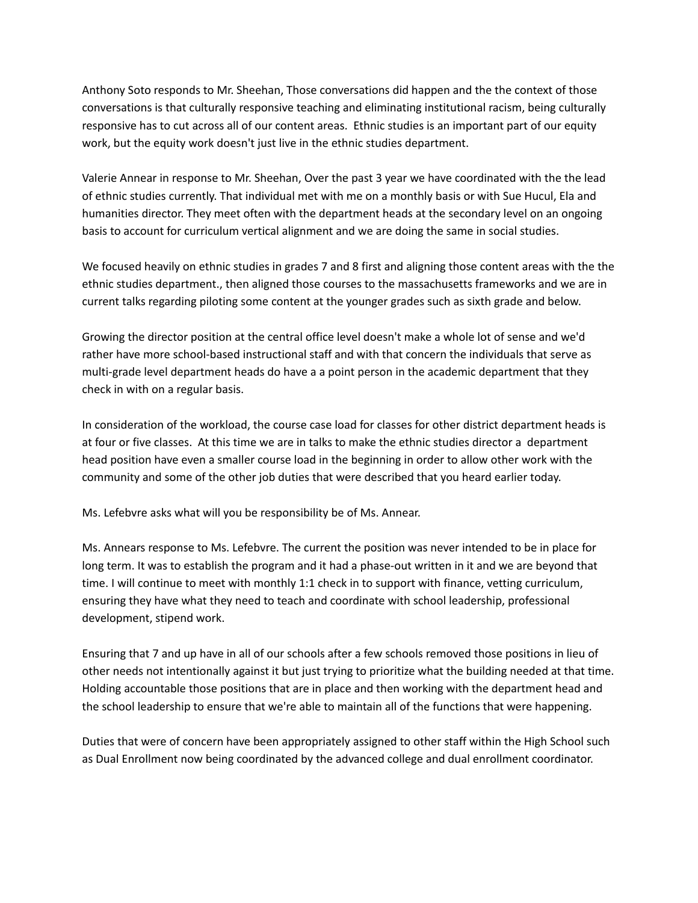Anthony Soto responds to Mr. Sheehan, Those conversations did happen and the the context of those conversations is that culturally responsive teaching and eliminating institutional racism, being culturally responsive has to cut across all of our content areas. Ethnic studies is an important part of our equity work, but the equity work doesn't just live in the ethnic studies department.

Valerie Annear in response to Mr. Sheehan, Over the past 3 year we have coordinated with the the lead of ethnic studies currently. That individual met with me on a monthly basis or with Sue Hucul, Ela and humanities director. They meet often with the department heads at the secondary level on an ongoing basis to account for curriculum vertical alignment and we are doing the same in social studies.

We focused heavily on ethnic studies in grades 7 and 8 first and aligning those content areas with the the ethnic studies department., then aligned those courses to the massachusetts frameworks and we are in current talks regarding piloting some content at the younger grades such as sixth grade and below.

Growing the director position at the central office level doesn't make a whole lot of sense and we'd rather have more school-based instructional staff and with that concern the individuals that serve as multi-grade level department heads do have a a point person in the academic department that they check in with on a regular basis.

In consideration of the workload, the course case load for classes for other district department heads is at four or five classes. At this time we are in talks to make the ethnic studies director a department head position have even a smaller course load in the beginning in order to allow other work with the community and some of the other job duties that were described that you heard earlier today.

Ms. Lefebvre asks what will you be responsibility be of Ms. Annear.

Ms. Annears response to Ms. Lefebvre. The current the position was never intended to be in place for long term. It was to establish the program and it had a phase-out written in it and we are beyond that time. I will continue to meet with monthly 1:1 check in to support with finance, vetting curriculum, ensuring they have what they need to teach and coordinate with school leadership, professional development, stipend work.

Ensuring that 7 and up have in all of our schools after a few schools removed those positions in lieu of other needs not intentionally against it but just trying to prioritize what the building needed at that time. Holding accountable those positions that are in place and then working with the department head and the school leadership to ensure that we're able to maintain all of the functions that were happening.

Duties that were of concern have been appropriately assigned to other staff within the High School such as Dual Enrollment now being coordinated by the advanced college and dual enrollment coordinator.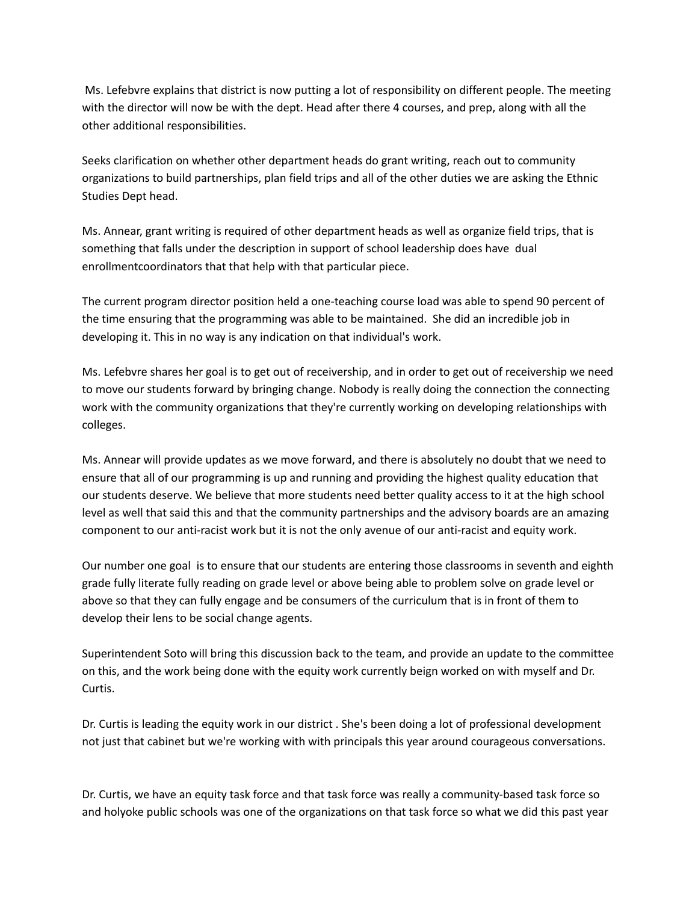Ms. Lefebvre explains that district is now putting a lot of responsibility on different people. The meeting with the director will now be with the dept. Head after there 4 courses, and prep, along with all the other additional responsibilities.

Seeks clarification on whether other department heads do grant writing, reach out to community organizations to build partnerships, plan field trips and all of the other duties we are asking the Ethnic Studies Dept head.

Ms. Annear, grant writing is required of other department heads as well as organize field trips, that is something that falls under the description in support of school leadership does have dual enrollmentcoordinators that that help with that particular piece.

The current program director position held a one-teaching course load was able to spend 90 percent of the time ensuring that the programming was able to be maintained. She did an incredible job in developing it. This in no way is any indication on that individual's work.

Ms. Lefebvre shares her goal is to get out of receivership, and in order to get out of receivership we need to move our students forward by bringing change. Nobody is really doing the connection the connecting work with the community organizations that they're currently working on developing relationships with colleges.

Ms. Annear will provide updates as we move forward, and there is absolutely no doubt that we need to ensure that all of our programming is up and running and providing the highest quality education that our students deserve. We believe that more students need better quality access to it at the high school level as well that said this and that the community partnerships and the advisory boards are an amazing component to our anti-racist work but it is not the only avenue of our anti-racist and equity work.

Our number one goal is to ensure that our students are entering those classrooms in seventh and eighth grade fully literate fully reading on grade level or above being able to problem solve on grade level or above so that they can fully engage and be consumers of the curriculum that is in front of them to develop their lens to be social change agents.

Superintendent Soto will bring this discussion back to the team, and provide an update to the committee on this, and the work being done with the equity work currently beign worked on with myself and Dr. Curtis.

Dr. Curtis is leading the equity work in our district . She's been doing a lot of professional development not just that cabinet but we're working with with principals this year around courageous conversations.

Dr. Curtis, we have an equity task force and that task force was really a community-based task force so and holyoke public schools was one of the organizations on that task force so what we did this past year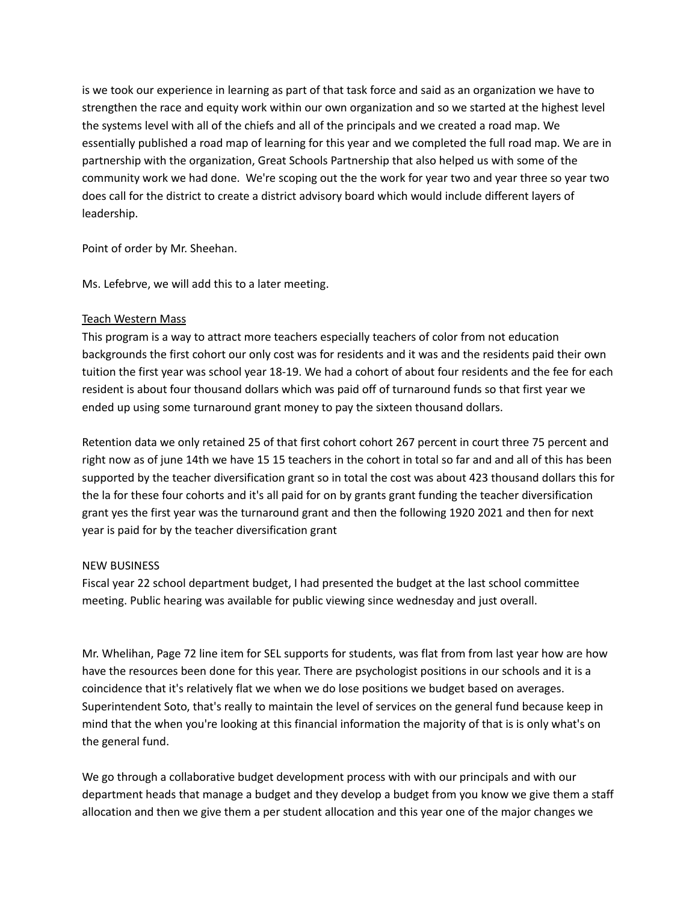is we took our experience in learning as part of that task force and said as an organization we have to strengthen the race and equity work within our own organization and so we started at the highest level the systems level with all of the chiefs and all of the principals and we created a road map. We essentially published a road map of learning for this year and we completed the full road map. We are in partnership with the organization, Great Schools Partnership that also helped us with some of the community work we had done. We're scoping out the the work for year two and year three so year two does call for the district to create a district advisory board which would include different layers of leadership.

Point of order by Mr. Sheehan.

Ms. Lefebrve, we will add this to a later meeting.

### Teach Western Mass

This program is a way to attract more teachers especially teachers of color from not education backgrounds the first cohort our only cost was for residents and it was and the residents paid their own tuition the first year was school year 18-19. We had a cohort of about four residents and the fee for each resident is about four thousand dollars which was paid off of turnaround funds so that first year we ended up using some turnaround grant money to pay the sixteen thousand dollars.

Retention data we only retained 25 of that first cohort cohort 267 percent in court three 75 percent and right now as of june 14th we have 15 15 teachers in the cohort in total so far and and all of this has been supported by the teacher diversification grant so in total the cost was about 423 thousand dollars this for the la for these four cohorts and it's all paid for on by grants grant funding the teacher diversification grant yes the first year was the turnaround grant and then the following 1920 2021 and then for next year is paid for by the teacher diversification grant

## NEW BUSINESS

Fiscal year 22 school department budget, I had presented the budget at the last school committee meeting. Public hearing was available for public viewing since wednesday and just overall.

Mr. Whelihan, Page 72 line item for SEL supports for students, was flat from from last year how are how have the resources been done for this year. There are psychologist positions in our schools and it is a coincidence that it's relatively flat we when we do lose positions we budget based on averages. Superintendent Soto, that's really to maintain the level of services on the general fund because keep in mind that the when you're looking at this financial information the majority of that is is only what's on the general fund.

We go through a collaborative budget development process with with our principals and with our department heads that manage a budget and they develop a budget from you know we give them a staff allocation and then we give them a per student allocation and this year one of the major changes we